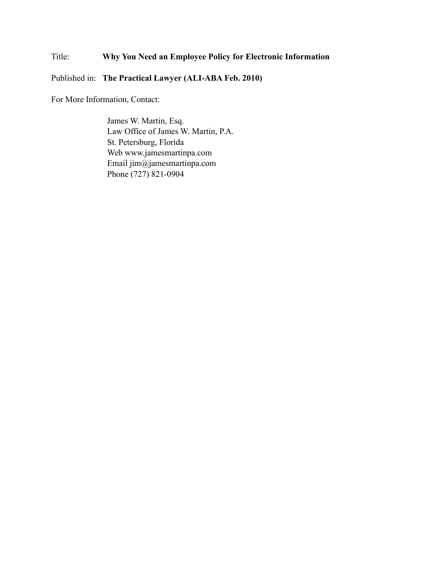## Title: **Why You Need an Employee Policy for Electronic Information**

Published in: **The Practical Lawyer (ALI-ABA Feb. 2010)**

For More Information, Contact:

James W. Martin, Esq. Law Office of James W. Martin, P.A. St. Petersburg, Florida Web www.jamesmartinpa.com Email jim@jamesmartinpa.com Phone (727) 821-0904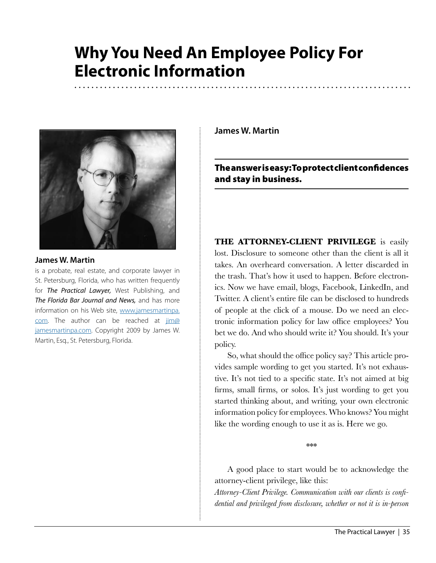# **Why You Need An Employee Policy For Electronic Information**



### **James W. Martin**

is a probate, real estate, and corporate lawyer in St. Petersburg, Florida, who has written frequently for *The Practical Lawyer,* West Publishing, and *The Florida Bar Journal and News,* and has more information on his Web site, [www.jamesmartinpa.](http://www.jamesmartinpa.com) [com.](http://www.jamesmartinpa.com) The author can be reached at  $\lim_{x \to 0}$ [jamesmartinpa.com](mailto:jim@jamesmartinpa.com). Copyright 2009 by James W. Martin, Esq., St. Petersburg, Florida.

**James W. Martin**

The answer is easy: To protect client confidences and stay in business.

**THE ATTORNEY-CLIENT PRIVILEGE** is easily lost. Disclosure to someone other than the client is all it takes. An overheard conversation. A letter discarded in the trash. That's how it used to happen. Before electronics. Now we have email, blogs, Facebook, LinkedIn, and Twitter. A client's entire file can be disclosed to hundreds of people at the click of a mouse. Do we need an electronic information policy for law office employees? You bet we do. And who should write it? You should. It's your policy.

So, what should the office policy say? This article provides sample wording to get you started. It's not exhaustive. It's not tied to a specific state. It's not aimed at big firms, small firms, or solos. It's just wording to get you started thinking about, and writing, your own electronic information policy for employees. Who knows? You might like the wording enough to use it as is. Here we go.

\*\*\*

A good place to start would be to acknowledge the attorney-client privilege, like this:

*Attorney-Client Privilege. Communication with our clients is confidential and privileged from disclosure, whether or not it is in-person*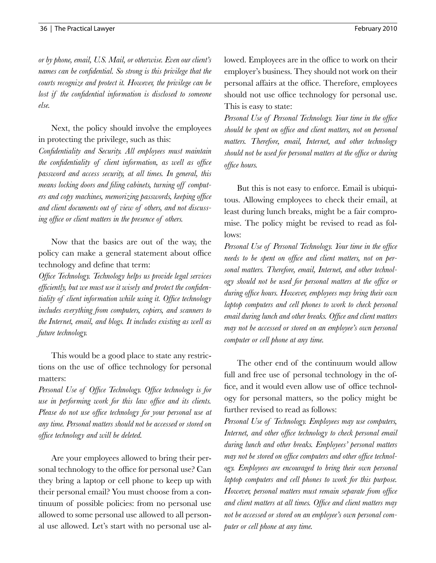*or by phone, email, U.S. Mail, or otherwise. Even our client's names can be confidential. So strong is this privilege that the courts recognize and protect it. However, the privilege can be lost if the confidential information is disclosed to someone else.* 

Next, the policy should involve the employees in protecting the privilege, such as this:

*Confidentiality and Security. All employees must maintain the confidentiality of client information, as well as office password and access security, at all times. In general, this means locking doors and filing cabinets, turning off computers and copy machines, memorizing passwords, keeping office and client documents out of view of others, and not discussing office or client matters in the presence of others.*

Now that the basics are out of the way, the policy can make a general statement about office technology and define that term:

*Office Technology. Technology helps us provide legal services efficiently, but we must use it wisely and protect the confidentiality of client information while using it. Office technology includes everything from computers, copiers, and scanners to the Internet, email, and blogs. It includes existing as well as future technology.*

This would be a good place to state any restrictions on the use of office technology for personal matters:

*Personal Use of Office Technology. Office technology is for use in performing work for this law office and its clients. Please do not use office technology for your personal use at any time. Personal matters should not be accessed or stored on office technology and will be deleted.* 

Are your employees allowed to bring their personal technology to the office for personal use? Can they bring a laptop or cell phone to keep up with their personal email? You must choose from a continuum of possible policies: from no personal use allowed to some personal use allowed to all personal use allowed. Let's start with no personal use allowed. Employees are in the office to work on their employer's business. They should not work on their personal affairs at the office. Therefore, employees should not use office technology for personal use. This is easy to state:

*Personal Use of Personal Technology. Your time in the office should be spent on office and client matters, not on personal matters. Therefore, email, Internet, and other technology should not be used for personal matters at the office or during office hours.* 

But this is not easy to enforce. Email is ubiquitous. Allowing employees to check their email, at least during lunch breaks, might be a fair compromise. The policy might be revised to read as follows:

*Personal Use of Personal Technology. Your time in the office needs to be spent on office and client matters, not on personal matters. Therefore, email, Internet, and other technology should not be used for personal matters at the office or during office hours. However, employees may bring their own laptop computers and cell phones to work to check personal email during lunch and other breaks. Office and client matters may not be accessed or stored on an employee's own personal computer or cell phone at any time.*

The other end of the continuum would allow full and free use of personal technology in the office, and it would even allow use of office technology for personal matters, so the policy might be further revised to read as follows:

*Personal Use of Technology. Employees may use computers, Internet, and other office technology to check personal email during lunch and other breaks. Employees' personal matters may not be stored on office computers and other office technology. Employees are encouraged to bring their own personal laptop computers and cell phones to work for this purpose. However, personal matters must remain separate from office and client matters at all times. Office and client matters may not be accessed or stored on an employee's own personal computer or cell phone at any time.*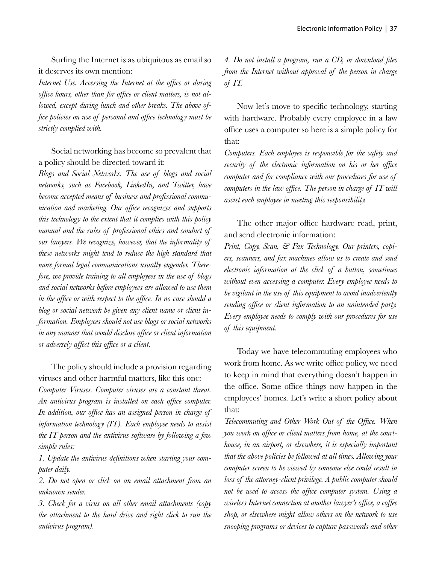Surfing the Internet is as ubiquitous as email so it deserves its own mention:

*Internet Use. Accessing the Internet at the office or during office hours, other than for office or client matters, is not allowed, except during lunch and other breaks. The above office policies on use of personal and office technology must be strictly complied with.*

Social networking has become so prevalent that a policy should be directed toward it:

*Blogs and Social Networks. The use of blogs and social networks, such as Facebook, LinkedIn, and Twitter, have become accepted means of business and professional communication and marketing. Our office recognizes and supports this technology to the extent that it complies with this policy manual and the rules of professional ethics and conduct of our lawyers. We recognize, however, that the informality of these networks might tend to reduce the high standard that more formal legal communications usually engender. Therefore, we provide training to all employees in the use of blogs and social networks before employees are allowed to use them in the office or with respect to the office. In no case should a blog or social network be given any client name or client information. Employees should not use blogs or social networks in any manner that would disclose office or client information or adversely affect this office or a client.* 

The policy should include a provision regarding viruses and other harmful matters, like this one:

*Computer Viruses. Computer viruses are a constant threat. An antivirus program is installed on each office computer. In addition, our office has an assigned person in charge of information technology (IT). Each employee needs to assist the IT person and the antivirus software by following a few simple rules:*

*1. Update the antivirus definitions when starting your computer daily.*

*2. Do not open or click on an email attachment from an unknown sender.*

*3. Check for a virus on all other email attachments (copy the attachment to the hard drive and right click to run the antivirus program).*

*4. Do not install a program, run a CD, or download files from the Internet without approval of the person in charge of IT.*

Now let's move to specific technology, starting with hardware. Probably every employee in a law office uses a computer so here is a simple policy for that:

*Computers. Each employee is responsible for the safety and security of the electronic information on his or her office computer and for compliance with our procedures for use of computers in the law office. The person in charge of IT will assist each employee in meeting this responsibility.* 

The other major office hardware read, print, and send electronic information:

*Print, Copy, Scan, & Fax Technology. Our printers, copiers, scanners, and fax machines allow us to create and send electronic information at the click of a button, sometimes without even accessing a computer. Every employee needs to be vigilant in the use of this equipment to avoid inadvertently sending office or client information to an unintended party. Every employee needs to comply with our procedures for use of this equipment.*

Today we have telecommuting employees who work from home. As we write office policy, we need to keep in mind that everything doesn't happen in the office. Some office things now happen in the employees' homes. Let's write a short policy about that:

*Telecommuting and Other Work Out of the Office. When you work on office or client matters from home, at the courthouse, in an airport, or elsewhere, it is especially important that the above policies be followed at all times. Allowing your computer screen to be viewed by someone else could result in loss of the attorney-client privilege. A public computer should not be used to access the office computer system. Using a wireless Internet connection at another lawyer's office, a coffee shop, or elsewhere might allow others on the network to use snooping programs or devices to capture passwords and other*